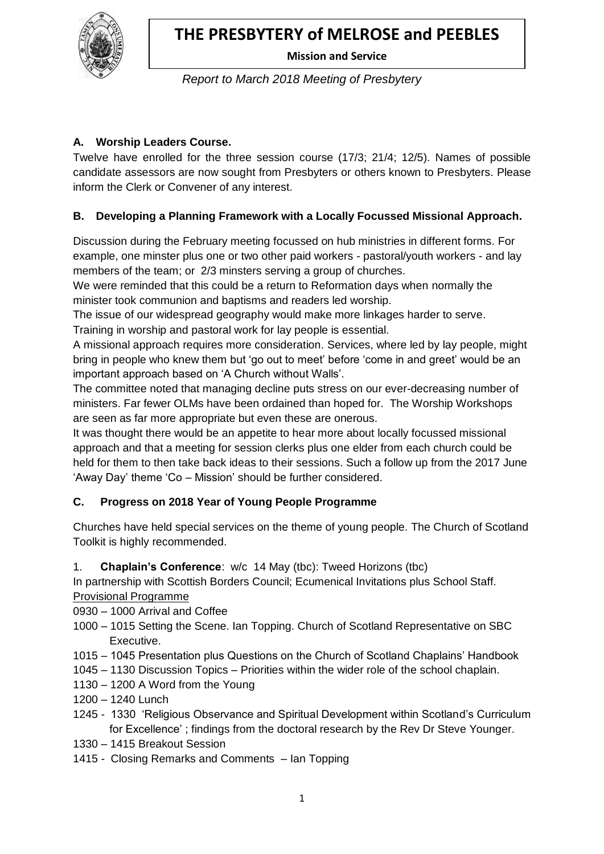

 **Mission and Service**

*Report to March 2018 Meeting of Presbytery*

## **A. Worship Leaders Course.**

Twelve have enrolled for the three session course (17/3; 21/4; 12/5). Names of possible candidate assessors are now sought from Presbyters or others known to Presbyters. Please inform the Clerk or Convener of any interest.

## **B. Developing a Planning Framework with a Locally Focussed Missional Approach.**

Discussion during the February meeting focussed on hub ministries in different forms. For example, one minster plus one or two other paid workers - pastoral/youth workers - and lay members of the team; or 2/3 minsters serving a group of churches.

We were reminded that this could be a return to Reformation days when normally the minister took communion and baptisms and readers led worship.

The issue of our widespread geography would make more linkages harder to serve. Training in worship and pastoral work for lay people is essential.

A missional approach requires more consideration. Services, where led by lay people, might bring in people who knew them but 'go out to meet' before 'come in and greet' would be an important approach based on 'A Church without Walls'.

The committee noted that managing decline puts stress on our ever-decreasing number of ministers. Far fewer OLMs have been ordained than hoped for. The Worship Workshops are seen as far more appropriate but even these are onerous.

It was thought there would be an appetite to hear more about locally focussed missional approach and that a meeting for session clerks plus one elder from each church could be held for them to then take back ideas to their sessions. Such a follow up from the 2017 June 'Away Day' theme 'Co – Mission' should be further considered.

## **C. Progress on 2018 Year of Young People Programme**

Churches have held special services on the theme of young people. The Church of Scotland Toolkit is highly recommended.

1. **Chaplain's Conference**: w/c 14 May (tbc): Tweed Horizons (tbc)

In partnership with Scottish Borders Council; Ecumenical Invitations plus School Staff. Provisional Programme

- 0930 1000 Arrival and Coffee
- 1000 1015 Setting the Scene. Ian Topping. Church of Scotland Representative on SBC Executive.
- 1015 1045 Presentation plus Questions on the Church of Scotland Chaplains' Handbook
- 1045 1130 Discussion Topics Priorities within the wider role of the school chaplain.
- 1130 1200 A Word from the Young
- 1200 1240 Lunch
- 1245 1330 'Religious Observance and Spiritual Development within Scotland's Curriculum for Excellence' ; findings from the doctoral research by the Rev Dr Steve Younger.
- 1330 1415 Breakout Session
- 1415 Closing Remarks and Comments Ian Topping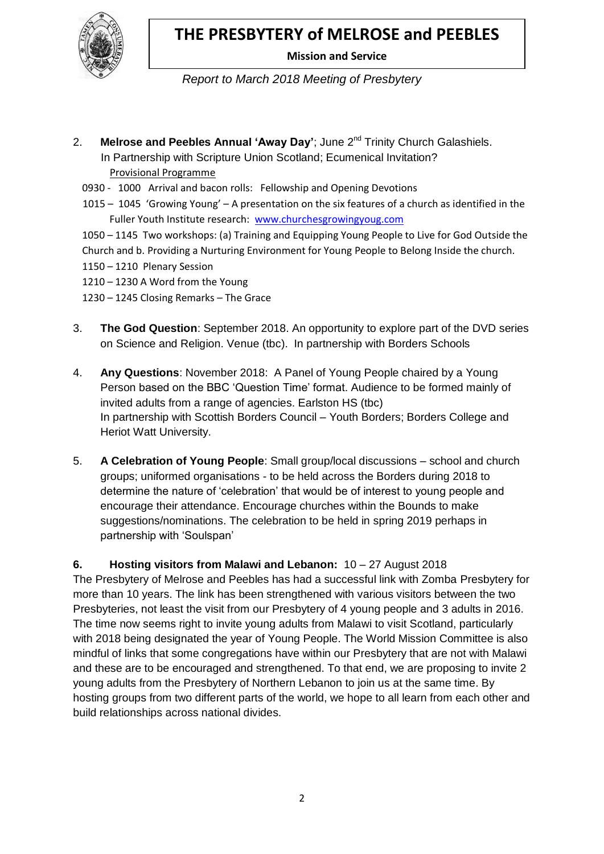

 **Mission and Service**

*Report to March 2018 Meeting of Presbytery*

- 2. **Melrose and Peebles Annual 'Away Day'**; June 2<sup>nd</sup> Trinity Church Galashiels. In Partnership with Scripture Union Scotland; Ecumenical Invitation? Provisional Programme
	- 0930 1000 Arrival and bacon rolls: Fellowship and Opening Devotions
	- 1015 1045 'Growing Young' A presentation on the six features of a church as identified in the Fuller Youth Institute research: [www.churchesgrowingyoug.com](http://www.churchesgrowingyoug.com/)
	- 1050 1145 Two workshops: (a) Training and Equipping Young People to Live for God Outside the Church and b. Providing a Nurturing Environment for Young People to Belong Inside the church.
	- 1150 1210 Plenary Session
	- 1210 1230 A Word from the Young
	- 1230 1245 Closing Remarks The Grace
- 3. **The God Question**: September 2018. An opportunity to explore part of the DVD series on Science and Religion. Venue (tbc). In partnership with Borders Schools
- 4. **Any Questions**: November 2018: A Panel of Young People chaired by a Young Person based on the BBC 'Question Time' format. Audience to be formed mainly of invited adults from a range of agencies. Earlston HS (tbc) In partnership with Scottish Borders Council – Youth Borders; Borders College and Heriot Watt University.
- 5. **A Celebration of Young People**: Small group/local discussions school and church groups; uniformed organisations - to be held across the Borders during 2018 to determine the nature of 'celebration' that would be of interest to young people and encourage their attendance. Encourage churches within the Bounds to make suggestions/nominations. The celebration to be held in spring 2019 perhaps in partnership with 'Soulspan'

**6. Hosting visitors from Malawi and Lebanon:** 10 – 27 August 2018 The Presbytery of Melrose and Peebles has had a successful link with Zomba Presbytery for more than 10 years. The link has been strengthened with various visitors between the two Presbyteries, not least the visit from our Presbytery of 4 young people and 3 adults in 2016. The time now seems right to invite young adults from Malawi to visit Scotland, particularly with 2018 being designated the year of Young People. The World Mission Committee is also mindful of links that some congregations have within our Presbytery that are not with Malawi and these are to be encouraged and strengthened. To that end, we are proposing to invite 2 young adults from the Presbytery of Northern Lebanon to join us at the same time. By hosting groups from two different parts of the world, we hope to all learn from each other and build relationships across national divides.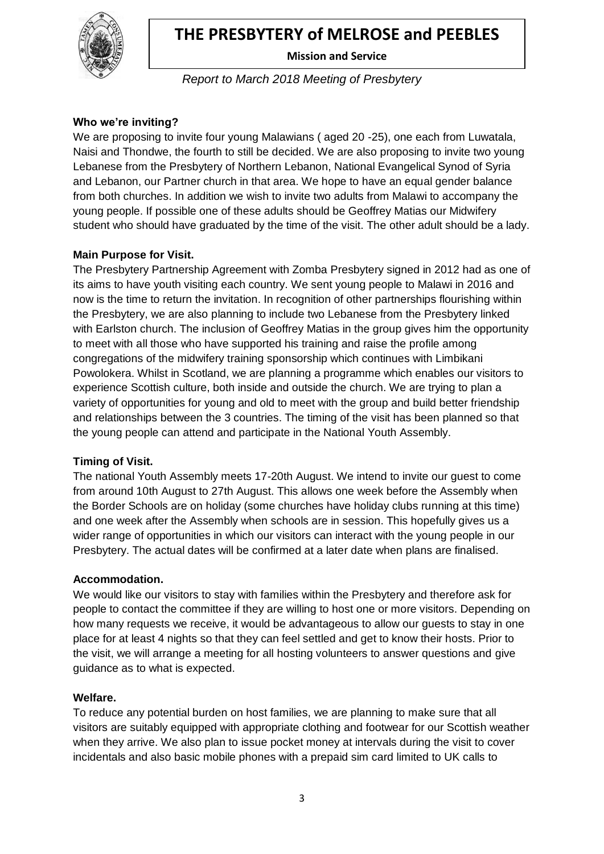

 **Mission and Service**

*Report to March 2018 Meeting of Presbytery*

## **Who we're inviting?**

We are proposing to invite four young Malawians ( aged 20 -25), one each from Luwatala, Naisi and Thondwe, the fourth to still be decided. We are also proposing to invite two young Lebanese from the Presbytery of Northern Lebanon, National Evangelical Synod of Syria and Lebanon, our Partner church in that area. We hope to have an equal gender balance from both churches. In addition we wish to invite two adults from Malawi to accompany the young people. If possible one of these adults should be Geoffrey Matias our Midwifery student who should have graduated by the time of the visit. The other adult should be a lady.

### **Main Purpose for Visit.**

The Presbytery Partnership Agreement with Zomba Presbytery signed in 2012 had as one of its aims to have youth visiting each country. We sent young people to Malawi in 2016 and now is the time to return the invitation. In recognition of other partnerships flourishing within the Presbytery, we are also planning to include two Lebanese from the Presbytery linked with Earlston church. The inclusion of Geoffrey Matias in the group gives him the opportunity to meet with all those who have supported his training and raise the profile among congregations of the midwifery training sponsorship which continues with Limbikani Powolokera. Whilst in Scotland, we are planning a programme which enables our visitors to experience Scottish culture, both inside and outside the church. We are trying to plan a variety of opportunities for young and old to meet with the group and build better friendship and relationships between the 3 countries. The timing of the visit has been planned so that the young people can attend and participate in the National Youth Assembly.

#### **Timing of Visit.**

The national Youth Assembly meets 17-20th August. We intend to invite our guest to come from around 10th August to 27th August. This allows one week before the Assembly when the Border Schools are on holiday (some churches have holiday clubs running at this time) and one week after the Assembly when schools are in session. This hopefully gives us a wider range of opportunities in which our visitors can interact with the young people in our Presbytery. The actual dates will be confirmed at a later date when plans are finalised.

#### **Accommodation.**

We would like our visitors to stay with families within the Presbytery and therefore ask for people to contact the committee if they are willing to host one or more visitors. Depending on how many requests we receive, it would be advantageous to allow our guests to stay in one place for at least 4 nights so that they can feel settled and get to know their hosts. Prior to the visit, we will arrange a meeting for all hosting volunteers to answer questions and give guidance as to what is expected.

#### **Welfare.**

To reduce any potential burden on host families, we are planning to make sure that all visitors are suitably equipped with appropriate clothing and footwear for our Scottish weather when they arrive. We also plan to issue pocket money at intervals during the visit to cover incidentals and also basic mobile phones with a prepaid sim card limited to UK calls to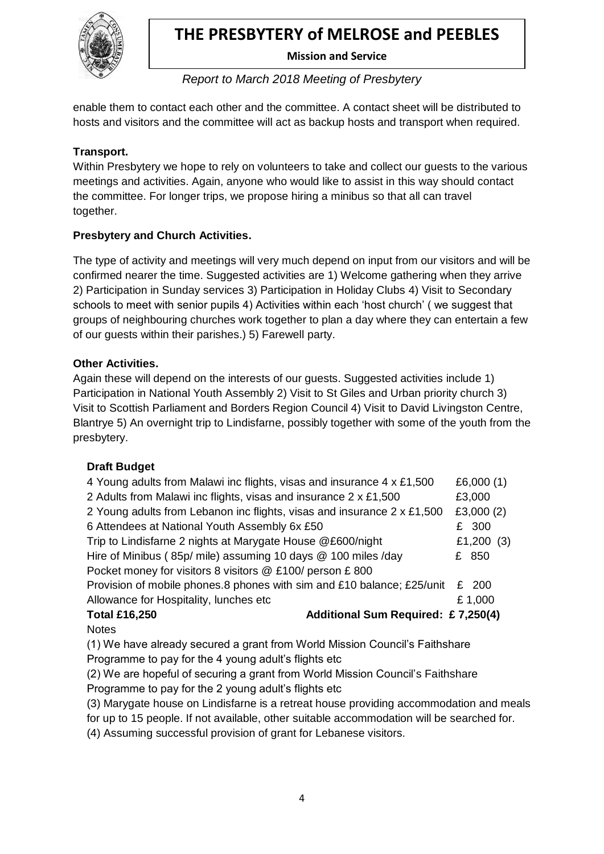

 **Mission and Service**

*Report to March 2018 Meeting of Presbytery*

enable them to contact each other and the committee. A contact sheet will be distributed to hosts and visitors and the committee will act as backup hosts and transport when required.

## **Transport.**

Within Presbytery we hope to rely on volunteers to take and collect our guests to the various meetings and activities. Again, anyone who would like to assist in this way should contact the committee. For longer trips, we propose hiring a minibus so that all can travel together.

## **Presbytery and Church Activities.**

The type of activity and meetings will very much depend on input from our visitors and will be confirmed nearer the time. Suggested activities are 1) Welcome gathering when they arrive 2) Participation in Sunday services 3) Participation in Holiday Clubs 4) Visit to Secondary schools to meet with senior pupils 4) Activities within each 'host church' ( we suggest that groups of neighbouring churches work together to plan a day where they can entertain a few of our guests within their parishes.) 5) Farewell party.

## **Other Activities.**

Again these will depend on the interests of our guests. Suggested activities include 1) Participation in National Youth Assembly 2) Visit to St Giles and Urban priority church 3) Visit to Scottish Parliament and Borders Region Council 4) Visit to David Livingston Centre, Blantrye 5) An overnight trip to Lindisfarne, possibly together with some of the youth from the presbytery.

### **Draft Budget**

| 4 Young adults from Malawi inc flights, visas and insurance 4 x £1,500      | £6,000 $(1)$ |
|-----------------------------------------------------------------------------|--------------|
| 2 Adults from Malawi inc flights, visas and insurance 2 x £1,500            | £3,000       |
| 2 Young adults from Lebanon inc flights, visas and insurance 2 x £1,500     | £3,000 $(2)$ |
| 6 Attendees at National Youth Assembly 6x £50                               | £ 300        |
| Trip to Lindisfarne 2 nights at Marygate House @£600/night                  | £1,200 $(3)$ |
| Hire of Minibus (85p/ mile) assuming 10 days @ 100 miles /day               | £ 850        |
| Pocket money for visitors 8 visitors @ £100/ person £800                    |              |
| Provision of mobile phones.8 phones with sim and £10 balance; £25/unit      | £ 200        |
| Allowance for Hospitality, lunches etc                                      | £1,000       |
| Additional Sum Required: £7,250(4)<br><b>Total £16,250</b>                  |              |
| <b>Notes</b>                                                                |              |
| (1) We have already secured a grant from World Mission Council's Faithshare |              |

Programme to pay for the 4 young adult's flights etc

(2) We are hopeful of securing a grant from World Mission Council's Faithshare Programme to pay for the 2 young adult's flights etc

(3) Marygate house on Lindisfarne is a retreat house providing accommodation and meals

for up to 15 people. If not available, other suitable accommodation will be searched for.

(4) Assuming successful provision of grant for Lebanese visitors.